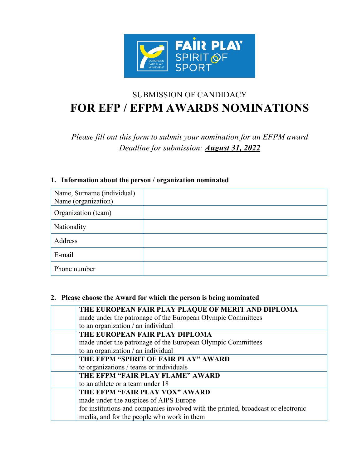

# SUBMISSION OF CANDIDACY **FOR EFP / EFPM AWARDS NOMINATIONS**

*Please fill out this form to submit your nomination for an EFPM award Deadline for submission: August 31, 2022*

| Name, Surname (individual)<br>Name (organization) |  |
|---------------------------------------------------|--|
| Organization (team)                               |  |
| Nationality                                       |  |
| Address                                           |  |
| E-mail                                            |  |
| Phone number                                      |  |

## **1. Information about the person / organization nominated**

## **2. Please choose the Award for which the person is being nominated**

| THE EUROPEAN FAIR PLAY PLAQUE OF MERIT AND DIPLOMA                                |
|-----------------------------------------------------------------------------------|
| made under the patronage of the European Olympic Committees                       |
| to an organization / an individual                                                |
| THE EUROPEAN FAIR PLAY DIPLOMA                                                    |
| made under the patronage of the European Olympic Committees                       |
| to an organization / an individual                                                |
| THE EFPM "SPIRIT OF FAIR PLAY" AWARD                                              |
| to organizations / teams or individuals                                           |
| THE EFPM "FAIR PLAY FLAME" AWARD                                                  |
| to an athlete or a team under 18                                                  |
| THE EFPM "FAIR PLAY VOX" AWARD                                                    |
| made under the auspices of AIPS Europe                                            |
| for institutions and companies involved with the printed, broadcast or electronic |
| media, and for the people who work in them                                        |